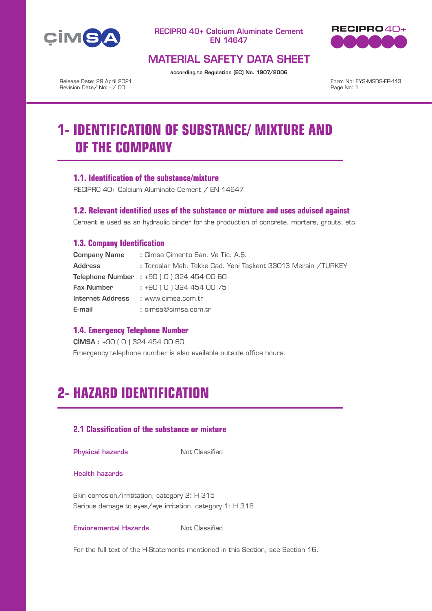



# MATERIAL SAFETY DATA SHEET

according to Regulation (EC) No. 1907/2006

Release Date: 29 April 2021 Revision Date/ No: - / 00

Form No: EYS-MSDS-FR-113 Page No: 1

# **1- IDENTIFICATION OF SUBSTANCE/ MIXTURE AND OF THE COMPANY**

## **1.1. Identification of the substance/mixture**

RECIPRO 40+ Calcium Aluminate Cement / EN 14647

### **1.2. Relevant identified uses of the substance or mixture and uses advised against**

Cement is used as an hydraulic binder for the production of concrete, mortars, grouts, etc.

## **1.3. Company Identification**

| <b>Company Name</b> | : Cimsa Cimento San, Ve Tic, A.S.                            |  |  |  |  |
|---------------------|--------------------------------------------------------------|--|--|--|--|
| <b>Address</b>      | : Toroslar Mah. Tekke Cad. Yeni Taşkent 33013 Mersin /TURKEY |  |  |  |  |
|                     | <b>Telephone Number</b> : $+90$ (0) 324 454 00 60            |  |  |  |  |
| <b>Fax Number</b>   | : +90 ( 0 ) 324 454 00 75                                    |  |  |  |  |
|                     | Internet Address : www.cimsa.com.tr                          |  |  |  |  |
| E-mail              | : cimsa@cimsa.com.tr                                         |  |  |  |  |

## **1.4. Emergency Telephone Number**

ÇİMSA : +90 ( 0 ) 324 454 00 60

Emergency telephone number is also available outside office hours.

# **2- HAZARD IDENTIFICATION**

# **2.1 Classification of the substance or mixture**

### **Physical hazards** Not Classified

#### Health hazards

Skin corrosion/irrititation, category 2: H 315 Serious damage to eyes/eye irritation, category 1: H 318

### **Envioremental Hazards** Not Classified

For the full text of the H-Statements mentioned in this Section, see Section 16.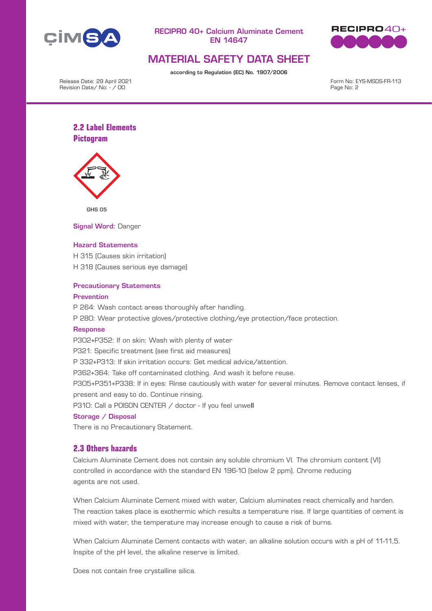



# MATERIAL SAFETY DATA SHEET

according to Regulation (EC) No. 1907/2006

Release Date: 29 April 2021 Revision Date/ No: - / 00

Form No: EYS-MSDS-FR-113 Page No: 2

# **2.2 Label Elements Pictogram**



GHS 05

Signal Word: Danger

#### Hazard Statements

H 315 (Causes skin irritation) H 318 (Causes serious eye damage)

### Precautionary Statements

#### Prevention

P 264: Wash contact areas thoroughly after handling.

P 280: Wear protective gloves/protective clothing/eye protection/face protection.

#### **Response**

P302+P352: If on skin: Wash with plenty of water

P321: Specific treatment (see first aid measures)

P 332+P313: If skin irritation occurs: Get medical advice/attention.

P362+364: Take off contaminated clothing. And wash it before reuse.

P305+P351+P338: If in eyes: Rinse cautiously with water for several minutes. Remove contact lenses, if present and easy to do. Continue rinsing.

P310: Call a P0ISON CENTER / doctor - If you feel unwell

### Storage / Disposal

There is no Precautionary Statement.

## **2.3 Others hazards**

Calcium Aluminate Cement does not contain any soluble chromium VI. The chromium content (VI) controlled in accordance with the standard EN 196-10 (below 2 ppm). Chrome reducing agents are not used.

When Calcium Aluminate Cement mixed with water, Calcium aluminates react chemically and harden. The reaction takes place is exothermic which results a temperature rise. If large quantities of cement is mixed with water, the temperature may increase enough to cause a risk of burns.

When Calcium Aluminate Cement contacts with water, an alkaline solution occurs with a pH of 11-11,5. Inspite of the pH level, the alkaline reserve is limited.

Does not contain free crystalline silica.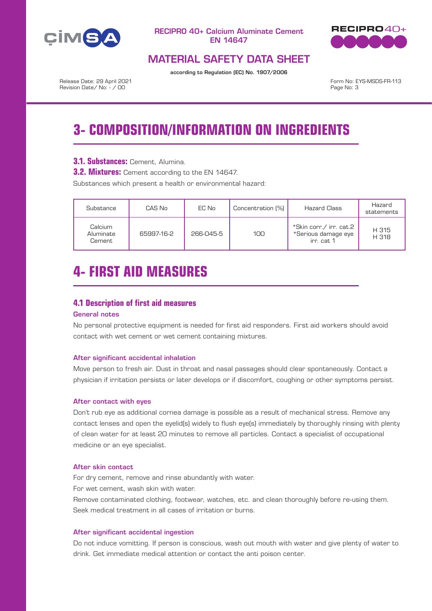



# MATERIAL SAFETY DATA SHEET

according to Regulation (EC) No. 1907/2006

Release Date: 29 April 2021 Revision Date/ No: - / 00

Form No: EYS-MSDS-FR-113 Page No: 3

# **3- COMPOSITION/INFORMATION ON INGREDIENTS**

# **3.1. Substances:** Cement, Alumina.

**3.2. Mixtures:** Cement according to the EN 14647.

Substances which present a health or environmental hazard:

| Substance                      | CAS No     | EC No     | Concentration (%) | <b>Hazard Class</b>                                          | Hazard<br>statements |
|--------------------------------|------------|-----------|-------------------|--------------------------------------------------------------|----------------------|
| Calcium<br>Aluminate<br>Cement | 65997-16-2 | 266-045-5 | 100               | *Skin corr./ irr. cat.2<br>*Serious damage eye<br>irr. cat 1 | H 315<br>H 318       |

# **4- FIRST AID MEASURES**

## **4.1 Description of first aid measures**

## General notes

No personal protective equipment is needed for first aid responders. First aid workers should avoid contact with wet cement or wet cement containing mixtures.

### After significant accidental inhalation

Move person to fresh air. Dust in throat and nasal passages should clear spontaneously. Contact a physician if irritation persists or later develops or if discomfort, coughing or other symptoms persist.

#### After contact with eyes

Don't rub eye as additional cornea damage is possible as a result of mechanical stress. Remove any contact lenses and open the eyelid(s) widely to flush eye(s) immediately by thoroughly rinsing with plenty of clean water for at least 20 minutes to remove all particles. Contact a specialist of occupational medicine or an eye specialist.

### After skin contact

For dry cement, remove and rinse abundantly with water. For wet cement, wash skin with water.

Remove contaminated clothing, footwear, watches, etc. and clean thoroughly before re-using them. Seek medical treatment in all cases of irritation or burns.

#### After significant accidental ingestion

Do not induce vomitting. If person is conscious, wash out mouth with water and give plenty of water to drink. Get immediate medical attention or contact the anti poison center.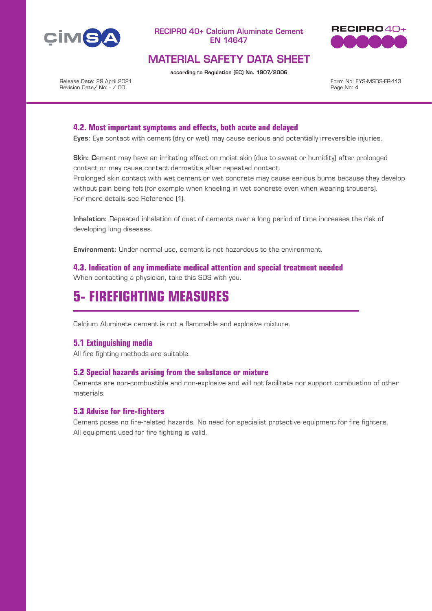



# MATERIAL SAFETY DATA SHEET

according to Regulation (EC) No. 1907/2006

Release Date: 29 April 2021 Revision Date/ No: - / 00

Form No: EYS-MSDS-FR-113 Page No: 4

## **4.2. Most important symptoms and effects, both acute and delayed**

Eyes: Eye contact with cement (dry or wet) may cause serious and potentially irreversible injuries.

Skin: Cement may have an irritating effect on moist skin (due to sweat or humidity) after prolonged contact or may cause contact dermatitis after repeated contact.

Prolonged skin contact with wet cement or wet concrete may cause serious burns because they develop without pain being felt (for example when kneeling in wet concrete even when wearing trousers). For more details see Reference (1).

Inhalation: Repeated inhalation of dust of cements over a long period of time increases the risk of developing lung diseases.

Environment: Under normal use, cement is not hazardous to the environment.

**4.3. Indication of any immediate medical attention and special treatment needed** When contacting a physician, take this SDS with you.

# **5- FIREFIGHTING MEASURES**

Calcium Aluminate cement is not a flammable and explosive mixture.

### **5.1 Extinguishing media**

All fire fighting methods are suitable.

### **5.2 Special hazards arising from the substance or mixture**

Cements are non-combustible and non-explosive and will not facilitate nor support combustion of other materials.

### **5.3 Advise for fire-fighters**

Cement poses no fire-related hazards. No need for specialist protective equipment for fire fighters. All equipment used for fire fighting is valid.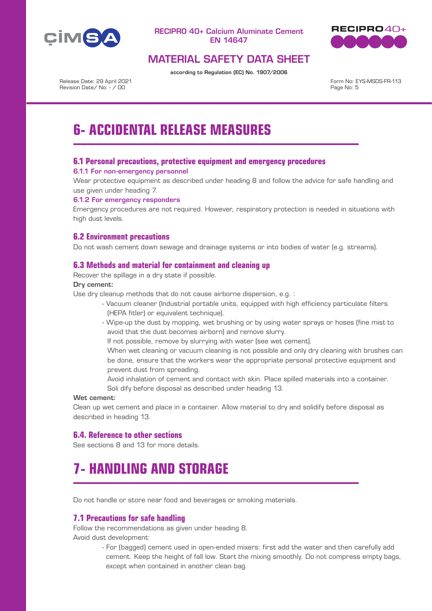



# MATERIAL SAFETY DATA SHEET

according to Regulation (EC) No. 1907/2006

Release Date: 29 April 2021 Revision Date/ No: - / 00

Form No: EYS-MSDS-FR-113 Page No: 5

# **6- ACCIDENTAL RELEASE MEASURES**

## **6.1 Personal precautions, protective equipment and emergency procedures**

### 6.1.1 For non-emergency personnel

Wear protective equipment as described under heading 8 and follow the advice for safe handling and use given under heading 7.

### 6.1.2 For emergency responders

Emergency procedures are not required. However, respiratory protection is needed in situations with high dust levels.

# **6.2 Environment precautions**

Do not wash cement down sewage and drainage systems or into bodies of water (e.g. streams).

## **6.3 Methods and material for containment and cleaning up**

Recover the spillage in a dry state if possible.

### Dry cement:

Use dry cleanup methods that do not cause airborne dispersion, e.g. :

- Vacuum cleaner (Industrial portable units, equipped with high efficiency particulate filters (HEPA fitler) or equivalent technique).
- Wipe-up the dust by mopping, wet brushing or by using water sprays or hoses (fine mist to avoid that the dust becomes airborn) and remove slurry.

If not possible, remove by slurrying with water (see wet cement).

- When wet cleaning or vacuum cleaning is not possible and only dry cleaning with brushes can be done, ensure that the workers wear the appropriate personal protective equipment and prevent dust from spreading.
- Avoid inhalation of cement and contact with skin. Place spilled materials into a container. Soli dify before disposal as described under heading 13.

### Wet cement:

Clean up wet cement and place in a container. Allow material to dry and solidify before disposal as described in heading 13.

### **6.4. Reference to other sections**

See sections 8 and 13 for more details.

# **7- HANDLING AND STORAGE**

Do not handle or store near food and beverages or smoking materials.

### **7.1 Precautions for safe handling**

Follow the recommendations as given under heading 8. Avoid dust development:

> - For (bagged) cement used in open-ended mixers: first add the water and then carefully add cement. Keep the height of fall low. Start the mixing smoothly. Do not compress empty bags, except when contained in another clean bag.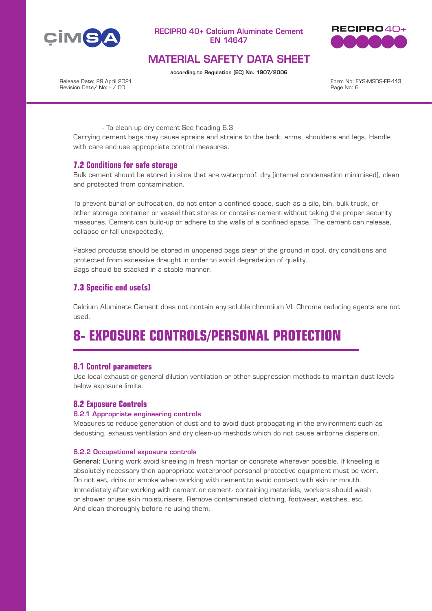



# MATERIAL SAFETY DATA SHEET

according to Regulation (EC) No. 1907/2006

Release Date: 29 April 2021 Revision Date/ No: - / 00

Form No: EYS-MSDS-FR-113 Page No: 6

- To clean up dry cement See heading 6.3

Carrying cement bags may cause sprains and strains to the back, arms, shoulders and legs. Handle with care and use appropriate control measures.

### **7.2 Conditions for safe storage**

Bulk cement should be stored in silos that are waterproof, dry (internal condensation minimised), clean and protected from contamination.

To prevent burial or suffocation, do not enter a confined space, such as a silo, bin, bulk truck, or other storage container or vessel that stores or contains cement without taking the proper security measures. Cement can build-up or adhere to the walls of a confined space. The cement can release, collapse or fall unexpectedly.

Packed products should be stored in unopened bags clear of the ground in cool, dry conditions and protected from excessive draught in order to avoid degradation of quality. Bags should be stacked in a stable manner.

# **7.3 Specific end use(s)**

Calcium Aluminate Cement does not contain any soluble chromium VI. Chrome reducing agents are not used.

# **8- EXPOSURE CONTROLS/PERSONAL PROTECTION**

### **8.1 Control parameters**

Use local exhaust or general dilution ventilation or other suppression methods to maintain dust levels below exposure limits.

### **8.2 Exposure Controls**

#### 8.2.1 Appropriate engineering controls

Measures to reduce generation of dust and to avoid dust propagating in the environment such as dedusting, exhaust ventilation and dry clean-up methods which do not cause airborne dispersion.

#### 8.2.2 Occupational exposure controls

General: During work avoid kneeling in fresh mortar or concrete wherever possible. If kneeling is absolutely necessary then appropriate waterproof personal protective equipment must be worn. Do not eat, drink or smoke when working with cement to avoid contact with skin or mouth. Immediately after working with cement or cement- containing materials, workers should wash or shower oruse skin moisturisers. Remove contaminated clothing, footwear, watches, etc. And clean thoroughly before re-using them.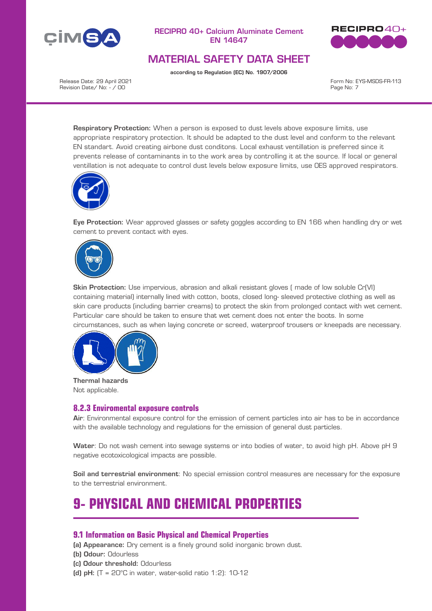



# MATERIAL SAFETY DATA SHEET

according to Regulation (EC) No. 1907/2006

Release Date: 29 April 2021 Revision Date/ No: - / 00

Form No: EYS-MSDS-FR-113 Page No: 7

Respiratory Protection: When a person is exposed to dust levels above exposure limits, use appropriate respiratory protection. It should be adapted to the dust level and conform to the relevant EN standart. Avoid creating airbone dust conditons. Local exhaust ventillation is preferred since it prevents release of contaminants in to the work area by controlling it at the source. If local or general ventillation is not adequate to control dust levels below exposure limits, use OES approved respirators.



Eye Protection: Wear approved glasses or safety goggles according to EN 166 when handling dry or wet cement to prevent contact with eyes.



Skin Protection: Use impervious, abrasion and alkali resistant gloves ( made of low soluble Cr(VI) containing material) internally lined with cotton, boots, closed long- sleeved protective clothing as well as skin care products (including barrier creams) to protect the skin from prolonged contact with wet cement. Particular care should be taken to ensure that wet cement does not enter the boots. In some circumstances, such as when laying concrete or screed, waterproof trousers or kneepads are necessary.



Thermal hazards Not applicable.

### **8.2.3 Enviromental exposure controls**

Air: Environmental exposure control for the emission of cement particles into air has to be in accordance with the available technology and regulations for the emission of general dust particles.

Water: Do not wash cement into sewage systems or into bodies of water, to avoid high pH. Above pH 9 negative ecotoxicological impacts are possible.

Soil and terrestrial environment: No special emission control measures are necessary for the exposure to the terrestrial environment.

# **9- PHYSICAL AND CHEMICAL PROPERTIES**

### **9.1 Information on Basic Physical and Chemical Properties**

(a) Appearance: Dry cement is a finely ground solid inorganic brown dust.

- (b) Odour: Odourless
- (c) Odour threshold: Odourless
- (d)  $pH$ : (T = 20°C in water, water-solid ratio 1:2): 10-12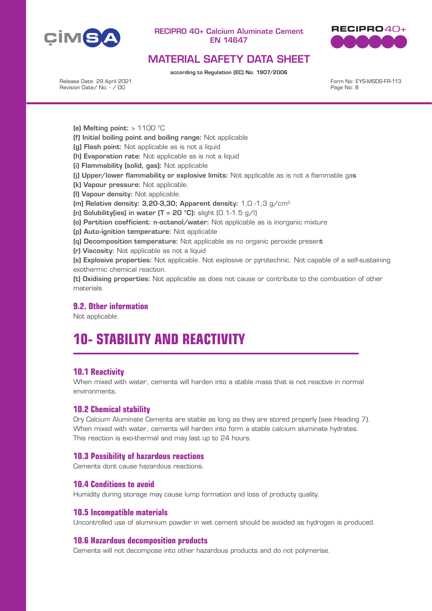



# MATERIAL SAFETY DATA SHEET

according to Regulation (EC) No. 1907/2006

Release Date: 29 April 2021 Revision Date/ No: - / 00

Form No: EYS-MSDS-FR-113 Page No: 8

- (e) Melting point:  $> 1100$  °C
- (f) Initial boiling point and boiling range: Not applicable
- (g) Flash point: Not applicable as is not a liquid
- (h) Evaporation rate: Not applicable as is not a liquid
- (i) Flammability (solid, gas): Not applicable
- (j) Upper/lower flammability or explosive limits: Not applicable as is not a flammable gas
- (k) Vapour pressure: Not applicable.
- (l) Vapour density: Not applicable.
- (m) Relative density:  $3.20-3.30$ : Apparent density:  $1.0 1.3$  g/cm<sup>3</sup>
- (n) Solubility(ies) in water  $(T = 20 °C)$ : slight  $(0.1-1.5 g/l)$
- (o) Partition coefficient: n-octanol/water: Not applicable as is inorganic mixture
- (p) Auto-ignition temperature: Not applicable
- (q) Decomposition temperature: Not applicable as no organic peroxide present
- (r) Viscosity: Not applicable as not a liquid

(s) Explosive properties: Not applicable. Not explosive or pyrotechnic. Not capable of a self-sustaining exothermic chemical reaction.

(t) Oxidising properties: Not applicable as does not cause or contribute to the combustion of other materials

## **9.2. Other information**

Not applicable.

# **10- STABILITY AND REACTIVITY**

### **10.1 Reactivity**

When mixed with water, cements will harden into a stable mass that is not reactive in normal environments.

### **10.2 Chemical stability**

Dry Calcium Aluminate Cements are stable as long as they are stored properly (see Heading 7). When mixed with water, cements will harden into form a stable calcium aluminate hydrates. This reaction is exo-thermal and may last up to 24 hours.

#### **10.3 Possibility of hazardous reactions**

Cements dont cause hazardous reactions.

### **10.4 Conditions to avoid**

Humidity during storage may cause lump formation and loss of producty quality.

### **10.5 Incompatible materials**

Uncontrolled use of aluminium powder in wet cement should be avoided as hydrogen is produced.

### **10.6 Hazardous decomposition products**

Cements will not decompose into other hazardous products and do not polymerise.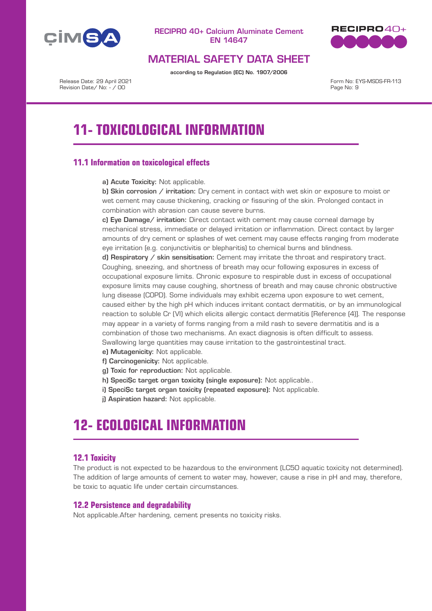



# MATERIAL SAFETY DATA SHEET

according to Regulation (EC) No. 1907/2006

Release Date: 29 April 2021 Revision Date/ No: - / 00

Form No: EYS-MSDS-FR-113 Page No: 9

# **11- TOXICOLOGICAL INFORMATION**

# **11.1 Information on toxicological effects**

a) Acute Toxicity: Not applicable.

b) Skin corrosion / irritation: Dry cement in contact with wet skin or exposure to moist or wet cement may cause thickening, cracking or fissuring of the skin. Prolonged contact in combination with abrasion can cause severe burns.

c) Eye Damage/ irritation: Direct contact with cement may cause corneal damage by mechanical stress, immediate or delayed irritation or inflammation. Direct contact by larger amounts of dry cement or splashes of wet cement may cause effects ranging from moderate eye irritation (e.g. conjunctivitis or blepharitis) to chemical burns and blindness.

d) Respiratory / skin sensitisation: Cement may irritate the throat and respiratory tract. Coughing, sneezing, and shortness of breath may ocur following exposures in excess of occupational exposure limits. Chronic exposure to respirable dust in excess of occupational exposure limits may cause coughing, shortness of breath and may cause chronic obstructive lung disease (COPD). Some individuals may exhibit eczema upon exposure to wet cement, caused either by the high pH which induces irritant contact dermatitis, or by an immunological reaction to soluble Cr (VI) which elicits allergic contact dermatitis [Reference (4)]. The response may appear in a variety of forms ranging from a mild rash to severe dermatitis and is a combination of those two mechanisms. An exact diagnosis is often difficult to assess. Swallowing large quantities may cause irritation to the gastrointestinal tract.

- e) Mutagenicity: Not applicable.
- f) Carcinogenicity: Not applicable.
- g) Toxic for reproduction: Not applicable.
- h) SpeciSc target organ toxicity (single exposure): Not applicable..
- i) SpeciSc target organ toxicity (repeated exposure): Not applicable.
- j) Aspiration hazard: Not applicable.

# **12- ECOLOGICAL INFORMATION**

### **12.1 Toxicity**

The product is not expected to be hazardous to the environment (LC50 aquatic toxicity not determined). The addition of large amounts of cement to water may, however, cause a rise in pH and may, therefore, be toxic to aquatic life under certain circumstances.

## **12.2 Persistence and degradability**

Not applicable.After hardening, cement presents no toxicity risks.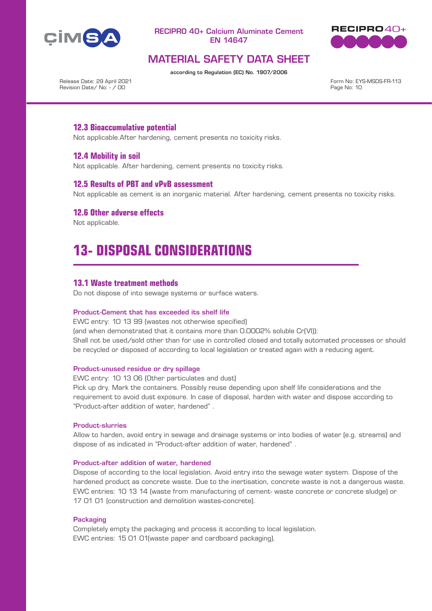



# MATERIAL SAFETY DATA SHEET

according to Regulation (EC) No. 1907/2006

Release Date: 29 April 2021 Revision Date/ No: - / 00

Form No: EYS-MSDS-FR-113 Page No: 10

## **12.3 Bioaccumulative potential**

Not applicable.After hardening, cement presents no toxicity risks.

### **12.4 Mobility in soil**

Not applicable. After hardening, cement presents no toxicity risks.

### **12.5 Results of PBT and vPvB assessment**

Not applicable as cement is an inorganic material. After hardening, cement presents no toxicity risks.

### **12.6 Other adverse effects**

Not applicable.

# **13- DISPOSAL CONSIDERATIONS**

### **13.1 Waste treatment methods**

Do not dispose of into sewage systems or surface waters.

#### Product-Cement that has exceeded its shelf life

EWC entry: 10 13 99 (wastes not otherwise specified) (and when demonstrated that it contains more than 0.0002% soluble Cr(VI)): Shall not be used/sold other than for use in controlled closed and totally automated processes or should be recycled or disposed of according to local legislation or treated again with a reducing agent.

### Product-unused residue or dry spillage

EWC entry: 10 13 06 (Other particulates and dust)

Pick up dry. Mark the containers. Possibly reuse depending upon shelf life considerations and the requirement to avoid dust exposure. In case of disposal, harden with water and dispose according to "Product-after addition of water, hardened" .

#### Product-slurries

Allow to harden, avoid entry in sewage and drainage systems or into bodies of water (e.g. streams) and dispose of as indicated in "Product-after addition of water, hardened" .

#### Product-after addition of water, hardened

Dispose of according to the local legislation. Avoid entry into the sewage water system. Dispose of the hardened product as concrete waste. Due to the inertisation, concrete waste is not a dangerous waste. EWC entries: 10 13 14 (waste from manufacturing of cement- waste concrete or concrete sludge) or 17 01 01 (construction and demolition wastes-concrete).

### **Packaging**

Completely empty the packaging and process it according to local legislation. EWC entries: 15 01 01(waste paper and cardboard packaging).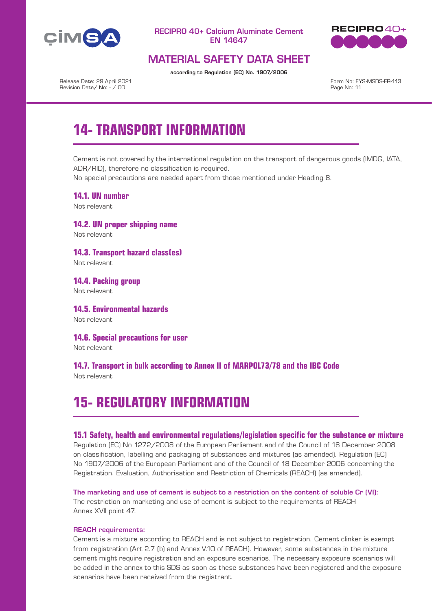



# MATERIAL SAFETY DATA SHEET

according to Regulation (EC) No. 1907/2006

Release Date: 29 April 2021 Revision Date/ No: - / 00

Form No: EYS-MSDS-FR-113 Page No: 11

# **14- TRANSPORT INFORMATION**

Cement is not covered by the international regulation on the transport of dangerous goods (IMDG, IATA, ADR/RID), therefore no classification is required.

No special precautions are needed apart from those mentioned under Heading 8.

**14.1. UN number** Not relevant

**14.2. UN proper shipping name** Not relevant

**14.3. Transport hazard class(es)** Not relevant

**14.4. Packing group** Not relevant

**14.5. Environmental hazards** Not relevant

**14.6. Special precautions for user** Not relevant

**14.7. Transport in bulk according to Annex II of MARPOL73/78 and the IBC Code** Not relevant

# **15- REGULATORY INFORMATION**

### **15.1 Safety, health and environmental regulations/legislation specific for the substance or mixture**

Regulation (EC) No 1272/2008 of the European Parliament and of the Council of 16 December 2008 on classification, labelling and packaging of substances and mixtures (as amended). Regulation (EC) No 1907/2006 of the European Parliament and of the Council of 18 December 2006 concerning the Registration, Evaluation, Authorisation and Restriction of Chemicals (REACH) (as amended).

The marketing and use of cement is subject to a restriction on the content of soluble Cr (VI): The restriction on marketing and use of cement is subject to the requirements of REACH Annex XVII point 47.

### REACH requirements:

Cement is a mixture according to REACH and is not subject to registration. Cement clinker is exempt from registration (Art 2.7 (b) and Annex V.10 of REACH). However, some substances in the mixture cement might require registration and an exposure scenarios. The necessary exposure scenarios will be added in the annex to this SDS as soon as these substances have been registered and the exposure scenarios have been received from the registrant.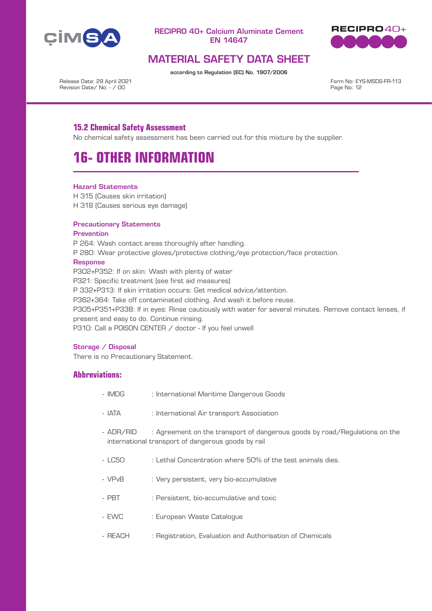



# MATERIAL SAFETY DATA SHEET

according to Regulation (EC) No. 1907/2006

Release Date: 29 April 2021 Revision Date/ No: - / 00

Form No: EYS-MSDS-FR-113 Page No: 12

# **15.2 Chemical Safety Assessment**

No chemical safety assessment has been carried out for this mixture by the supplier.

# **16- OTHER INFORMATION**

### Hazard Statements

H 315 (Causes skin irritation) H 318 (Causes serious eye damage)

### Precautionary Statements

### Prevention

P 264: Wash contact areas thoroughly after handling. P 280: Wear protective gloves/protective clothing/eye protection/face protection. **Response** P302+P352: If on skin: Wash with plenty of water P321: Specific treatment (see first aid measures) P 332+P313: If skin irritation occurs: Get medical advice/attention. P362+364: Take off contaminated clothing. And wash it before reuse. P305+P351+P338: If in eyes: Rinse cautiously with water for several minutes. Remove contact lenses, if present and easy to do. Continue rinsing. P310: Call a P0ISON CENTER / doctor - If you feel unwell

### Storage / Disposal

There is no Precautionary Statement.

## **Abbreviations:**

- IMDG : International Maritime Dangerous Goods
- IATA : International Air transport Association
- ADR/RID : Agreement on the transport of dangerous goods by road/Regulations on the international transport of dangerous goods by rail
- LC50 : Lethal Concentration where 50% of the test animals dies.
- VPvB : Very persistent, very bio-accumulative
- PBT : Persistent, bio-accumulative and toxic
- EWC : European Waste Catalogue
- REACH : Registration, Evaluation and Authorisation of Chemicals